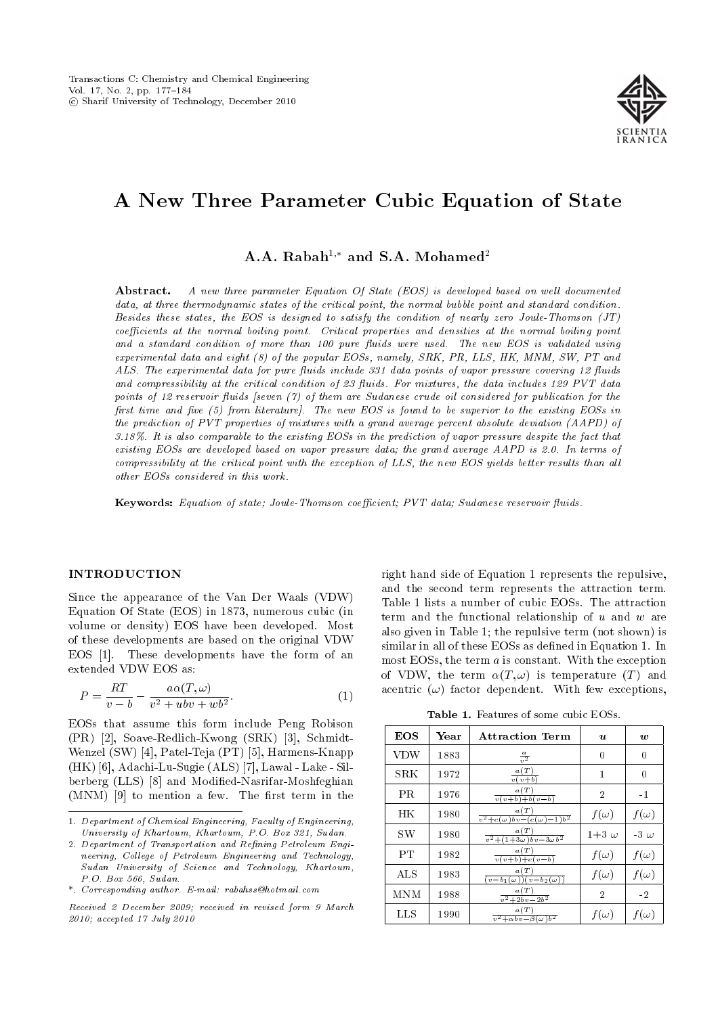

# A New Three Parameter Cubic Equation of State

A.A. Rabah<sup>1,\*</sup> and S.A. Mohamed<sup>2</sup>

**Abstract.** A new three parameter Equation Of State (EOS) is developed based on well documented data, at three thermodynamic states of the critical point, the normal bubble point and standard condition. Besides these states, the EOS is designed to satisfy the condition of nearly zero Joule-Thomson (JT) coefficients at the normal boiling point. Critical properties and densities at the normal boiling point and a standard condition of more than  $100$  pure fluids were used. The new EOS is validated using experimental data and eight (8) of the popular EOSs, namely, SRK, PR, LLS, HK, MNM, SW, PT and ALS. The experimental data for pure fluids include 331 data points of vapor pressure covering 12 fluids and compressibility at the critical condition of 23 fluids. For mixtures, the data includes 129 PVT data points of 12 reservoir fluids [seven (7) of them are Sudanese crude oil considered for publication for the first time and five  $(5)$  from literature]. The new EOS is found to be superior to the existing EOSs in the prediction of PVT properties of mixtures with a grand average percent absolute deviation (AAPD) of 3.18%. It is also comparable to the existing EOSs in the prediction of vapor pressure despite the fact that existing EOSs are developed based on vapor pressure data; the grand average AAPD is 2.0. In terms of compressibility at the critical point with the exception of LLS, the new EOS yields better results than all other EOSs considered in this work.

Keywords: Equation of state; Joule-Thomson coefficient; PVT data; Sudanese reservoir fluids.

## INTRODUCTION

Since the appearance of the Van Der Waals (VDW) Equation Of State (EOS) in 1873, numerous cubic (in volume or density) EOS have been developed. Most of these developments are based on the original VDW EOS [1]. These developments have the form of an extended VDW EOS as:

$$
P = \frac{RT}{v - b} - \frac{a\alpha(T, \omega)}{v^2 + ubv + wb^2}.
$$
 (1)

EOSs that assume this form include Peng Robison (PR) [2], Soave-Redlich-Kwong (SRK) [3], Schmidt-Wenzel (SW) [4], Patel-Teja (PT) [5], Harmens-Knapp (HK) [6], Adachi-Lu-Sugie (ALS) [7], Lawal - Lake - Silberberg (LLS) [8] and Modied-Nasrifar-Moshfeghian  $(MNM)$  [9] to mention a few. The first term in the right hand side of Equation 1 represents the repulsive, and the second term represents the attraction term. Table 1 lists a number of cubic EOSs. The attraction term and the functional relationship of  $u$  and  $w$  are also given in Table 1; the repulsive term (not shown) is similar in all of these EOSs as defined in Equation 1. In most EOSs, the term a is constant. With the exception of VDW, the term  $\alpha(T, \omega)$  is temperature (T) and acentric  $(\omega)$  factor dependent. With few exceptions,

Table 1. Features of some cubic EOSs.

| <b>EOS</b>            | Year | <b>Attraction Term</b>                              | $\boldsymbol{u}$ | w           |
|-----------------------|------|-----------------------------------------------------|------------------|-------------|
| VDW                   | 1883 | $\frac{a}{v^2}$                                     | 0                | 0           |
| <b>SRK</b>            | 1972 | a(T)<br>$\overline{v(v+b)}$                         | 1                | 0           |
| PR.                   | 1976 | a(T)<br>$\overline{v(v+b)+b(v-b)}$                  | 2                | $-1$        |
| HК                    | 1980 | a(T)<br>$\sqrt{v^2+c(\omega)b v-(c(\omega)-1)b^2}$  | $f(\omega)$      | $f(\omega)$ |
| SW                    | 1980 | a(T)<br>$\sqrt{v^2+(1+3\omega)b v-3\omega b^2}$     | $1+3 \omega$     | $-3\omega$  |
| PТ                    | 1982 | a(T)<br>$\overline{v(v+b)+c(v-b)}$                  | $f(\omega)$      | $f(\omega)$ |
| $\overline{\rm{ALS}}$ | 1983 | a(T)<br>$(v-b_1(\omega))(v-b_2(\omega))$            | $f(\omega)$      | $f(\omega)$ |
| <b>MNM</b>            | 1988 | a(T)<br>$\sqrt{v^2+2bv-2b^2}$                       | $\overline{2}$   | $-2$        |
| LLS                   | 1990 | a(T)<br>$\sqrt{v^2 + \alpha bv - \beta(\omega)b^2}$ | $f(\omega)$      | $f(\omega)$ |

<sup>1.</sup> Department of Chemical Engineering, Faculty of Engineering, University of Khartoum, Khartoum, P.O. Box 321, Sudan.

<sup>2.</sup> Department of Transportation and Refining Petroleum Engineering, College of Petroleum Engineering and Technology, Sudan University of Science and Technology, Khartoum, P.O. Box 566, Sudan.

<sup>\*.</sup> Corresponding author. E-mail: rabahss@hotmail.com

Received 2 December 2009; received in revised form 9 March 2010; accepted 17 July 2010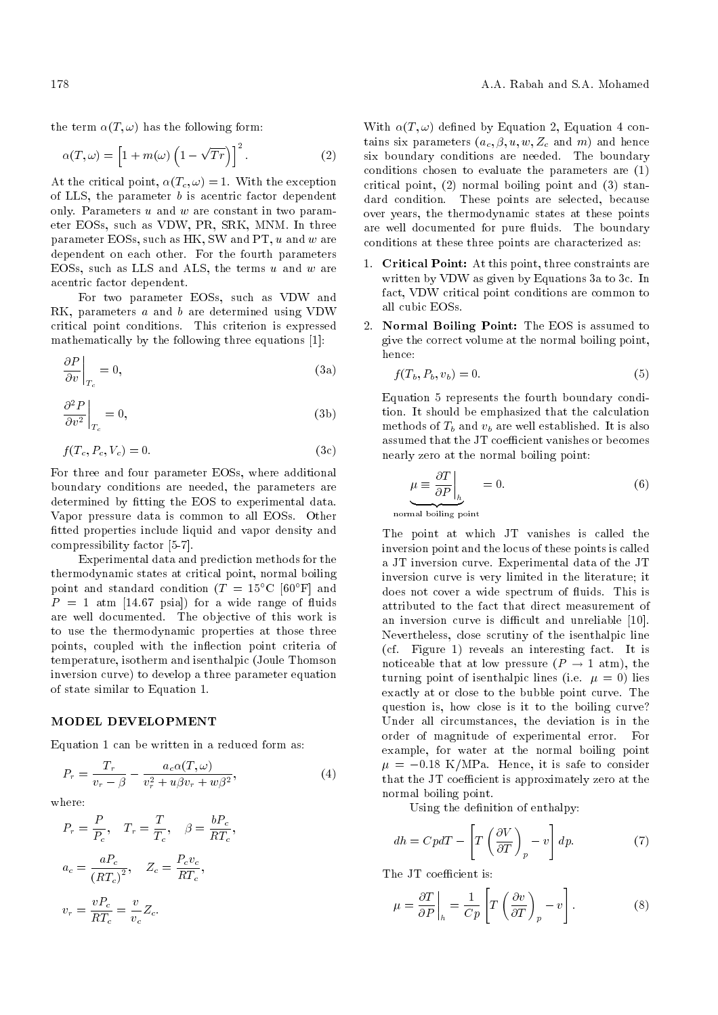the term  $\alpha(T, \omega)$  has the following form:

$$
\alpha(T,\omega) = \left[1 + m(\omega)\left(1 - \sqrt{Tr}\right)\right]^2.
$$
 (2)

At the critical point,  $\alpha(T_c, \omega) = 1$ . With the exception of LLS, the parameter  $b$  is acentric factor dependent only. Parameters u and w are constant in two parameter EOSs, such as VDW, PR, SRK, MNM. In three parameter EOSs, such as HK, SW and PT, u and w are dependent on each other. For the fourth parameters EOSs, such as LLS and ALS, the terms  $u$  and  $w$  are acentric factor dependent.

For two parameter EOSs, such as VDW and RK, parameters a and b are determined using VDW critical point conditions. This criterion is expressed mathematically by the following three equations [1]:

$$
\left. \frac{\partial P}{\partial v} \right|_{T_c} = 0,\tag{3a}
$$

$$
\left. \frac{\partial^2 P}{\partial v^2} \right|_{T_c} = 0,\tag{3b}
$$

$$
f(T_c, P_c, V_c) = 0. \tag{3c}
$$

For three and four parameter EOSs, where additional boundary conditions are needed, the parameters are determined by fitting the EOS to experimental data. Vapor pressure data is common to all EOSs. Other fitted properties include liquid and vapor density and compressibility factor [5-7].

Experimental data and prediction methods for the thermodynamic states at critical point, normal boiling point and standard condition (T = 15°C [60°F] and  $P = 1$  atm [14.67 psia]) for a wide range of fluids are well documented. The objective of this work is to use the thermodynamic properties at those three points, coupled with the inflection point criteria of temperature, isotherm and isenthalpic (Joule Thomson inversion curve) to develop a three parameter equation of state similar to Equation 1.

#### MODEL DEVELOPMENT

Equation 1 can be written in a reduced form as:

$$
P_r = \frac{T_r}{v_r - \beta} - \frac{a_c \alpha(T, \omega)}{v_r^2 + u \beta v_r + w \beta^2},\tag{4}
$$

where:

$$
P_r = \frac{P}{P_c}, \quad T_r = \frac{T}{T_c}, \quad \beta = \frac{bP_c}{RT_c},
$$

$$
a_c = \frac{aP_c}{(RT_c)^2}, \quad Z_c = \frac{P_c v_c}{RT_c},
$$

$$
v_r = \frac{vP_c}{RT_c} = \frac{v}{v_c} Z_c.
$$

With  $\alpha(T, \omega)$  defined by Equation 2, Equation 4 contains six parameters  $(a_c, \beta, u, w, Z_c \text{ and } m)$  and hence six boundary conditions are needed. The boundary conditions chosen to evaluate the parameters are (1) critical point, (2) normal boiling point and (3) standard condition. These points are selected, because over years, the thermodynamic states at these points are well documented for pure fluids. The boundary conditions at these three points are characterized as:

- 1. Critical Point: At this point, three constraints are written by VDW as given by Equations 3a to 3c. In fact, VDW critical point conditions are common to all cubic EOSs.
- 2. Normal Boiling Point: The EOS is assumed to give the correct volume at the normal boiling point, hence:

$$
f(T_b, P_b, v_b) = 0. \tag{5}
$$

Equation 5 represents the fourth boundary condition. It should be emphasized that the calculation methods of  $T_b$  and  $v_b$  are well established. It is also assumed that the JT coefficient vanishes or becomes nearly zero at the normal boiling point:

$$
\mu \equiv \frac{\partial T}{\partial P}\Big|_{h} = 0. \tag{6}
$$

normal boiling point

The point at which JT vanishes is called the inversion point and the locus of these points is called a JT inversion curve. Experimental data of the JT inversion curve is very limited in the literature; it does not cover a wide spectrum of fluids. This is attributed to the fact that direct measurement of an inversion curve is difficult and unreliable  $[10]$ . Nevertheless, close scrutiny of the isenthalpic line (cf. Figure 1) reveals an interesting fact. It is noticeable that at low pressure  $(P \rightarrow 1 \text{ atm})$ , the turning point of isenthalpic lines (i.e.  $\mu = 0$ ) lies exactly at or close to the bubble point curve. The question is, how close is it to the boiling curve? Under all circumstances, the deviation is in the order of magnitude of experimental error. For example, for water at the normal boiling point  $\mu = -0.18$  K/MPa. Hence, it is safe to consider that the JT coefficient is approximately zero at the normal boiling point.

Using the definition of enthalpy:

$$
dh = CpdT - \left[T\left(\frac{\partial V}{\partial T}\right)_p - v\right]dp.
$$
 (7)

The JT coefficient is:

$$
\mu = \frac{\partial T}{\partial P}\bigg|_{h} = \frac{1}{Cp} \left[ T \left( \frac{\partial v}{\partial T} \right)_{p} - v \right]. \tag{8}
$$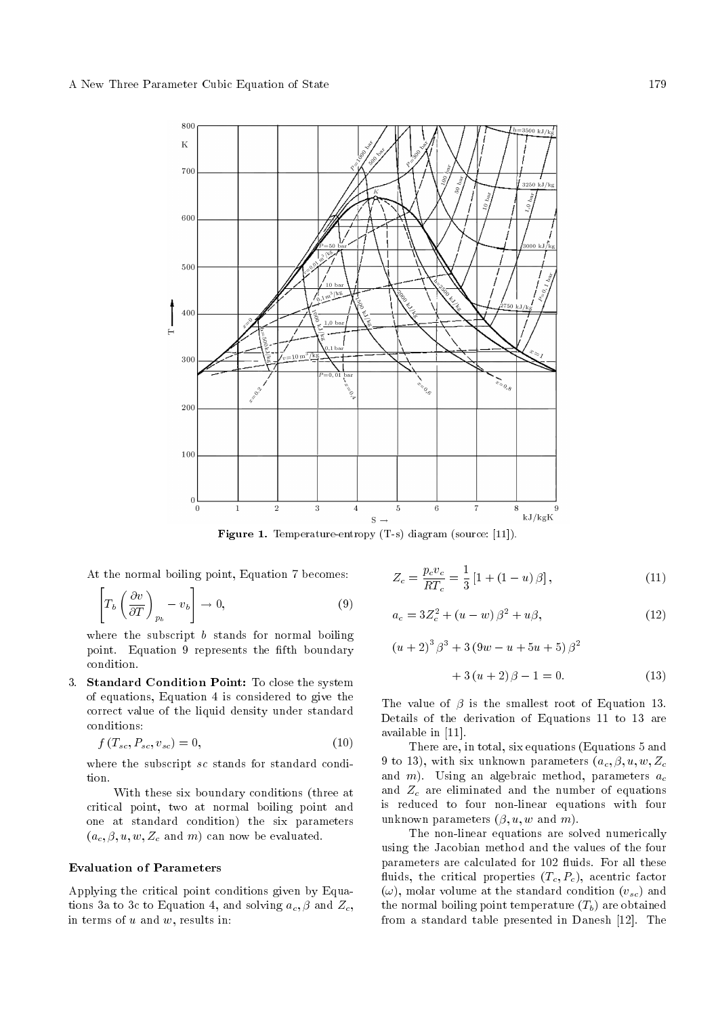

Figure 1. Temperature-entropy (T-s) diagram (source: [11]).

At the normal boiling point, Equation 7 becomes:

$$
\left[T_b \left(\frac{\partial v}{\partial T}\right)_{p_b} - v_b\right] \to 0, \tag{9}
$$

where the subscript  $b$  stands for normal boiling point. Equation 9 represents the fifth boundary condition.

3. Standard Condition Point: To close the system of equations, Equation 4 is considered to give the correct value of the liquid density under standard conditions:

$$
f(T_{sc}, P_{sc}, v_{sc}) = 0,\t\t(10)
$$

where the subscript sc stands for standard condition.

With these six boundary conditions (three at critical point, two at normal boiling point and one at standard condition) the six parameters  $(a_c, \beta, u, w, Z_c \text{ and } m)$  can now be evaluated.

#### Evaluation of Parameters

Applying the critical point conditions given by Equations 3a to 3c to Equation 4, and solving  $a_c$ ,  $\beta$  and  $Z_c$ , in terms of u and w, results in:

$$
Z_c = \frac{p_c v_c}{RT_c} = \frac{1}{3} \left[ 1 + (1 - u) \beta \right],
$$
 (11)

$$
a_c = 3Z_c^2 + (u - w)\beta^2 + u\beta,
$$
\n(12)

$$
(u+2)^3 \beta^3 + 3(9w - u + 5u + 5) \beta^2
$$

$$
+3(u + 2)\beta - 1 = 0.
$$
 (13)

The value of  $\beta$  is the smallest root of Equation 13. Details of the derivation of Equations 11 to 13 are available in [11].

There are, in total, six equations (Equations 5 and 9 to 13), with six unknown parameters  $(a_c, \beta, u, w, Z_c)$ and  $m$ ). Using an algebraic method, parameters  $a_c$ and  $Z_c$  are eliminated and the number of equations is reduced to four non-linear equations with four unknown parameters  $(\beta, u, w \text{ and } m)$ .

The non-linear equations are solved numerically using the Jacobian method and the values of the four parameters are calculated for 102 fluids. For all these fluids, the critical properties  $(T_c, P_c)$ , acentric factor  $(\omega)$ , molar volume at the standard condition  $(v_{sc})$  and the normal boiling point temperature  $(T_b)$  are obtained from a standard table presented in Danesh [12]. The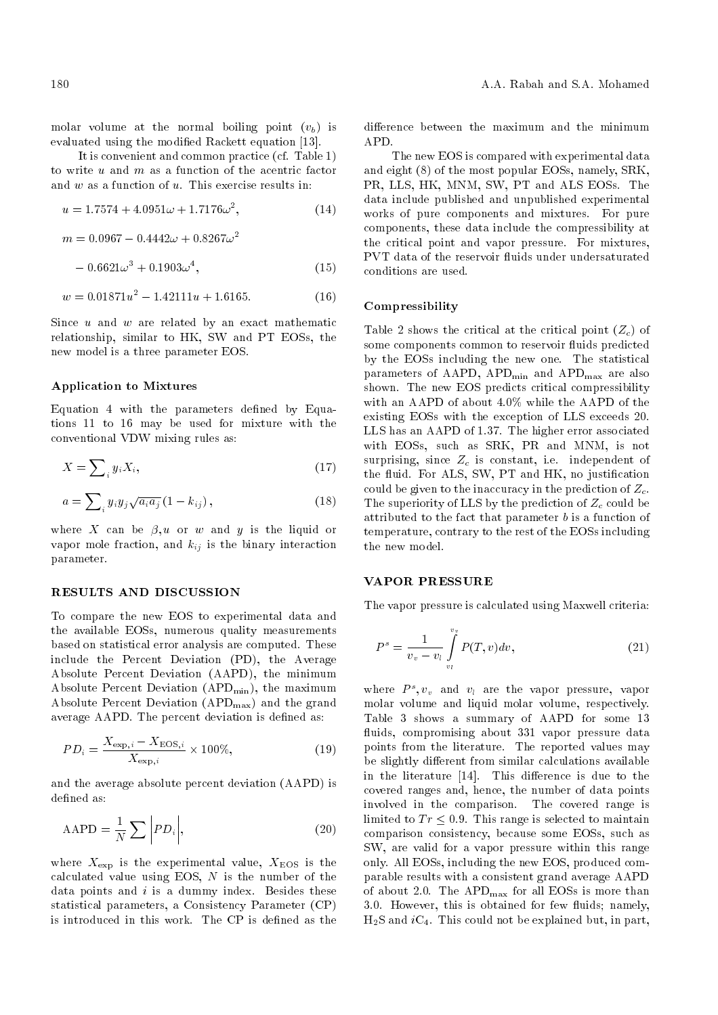molar volume at the normal boiling point  $(v_b)$  is evaluated using the modied Rackett equation [13].

It is convenient and common practice (cf. Table 1) to write  $u$  and  $m$  as a function of the acentric factor and w as a function of u. This exercise results in:

$$
u = 1.7574 + 4.0951\omega + 1.7176\omega^2, \tag{14}
$$

$$
m = 0.0967 - 0.4442\omega + 0.8267\omega^{2}
$$

$$
- 0.6621\omega^{3} + 0.1903\omega^{4}, \qquad (15)
$$

$$
w = 0.01871u^2 - 1.42111u + 1.6165.
$$
 (16)

Since  $u$  and  $w$  are related by an exact mathematic relationship, similar to HK, SW and PT EOSs, the new model is a three parameter EOS.

#### Application to Mixtures

Equation 4 with the parameters defined by Equations 11 to 16 may be used for mixture with the conventional VDW mixing rules as:

$$
X = \sum_{i} y_i X_i,\tag{17}
$$

$$
a = \sum_{i} y_i y_j \sqrt{a_i a_j} (1 - k_{ij}), \qquad (18)
$$

where X can be  $\beta, u$  or w and y is the liquid or vapor mole fraction, and  $k_{ij}$  is the binary interaction parameter.

# RESULTS AND DISCUSSION

To compare the new EOS to experimental data and the available EOSs, numerous quality measurements based on statistical error analysis are computed. These include the Percent Deviation (PD), the Average Absolute Percent Deviation (AAPD), the minimum Absolute Percent Deviation (APD $_{\text{min}}$ ), the maximum Absolute Percent Deviation  $(APD_{max})$  and the grand average AAPD. The percent deviation is defined as:

$$
PD_i = \frac{X_{\exp,i} - X_{\text{EOS},i}}{X_{\exp,i}} \times 100\%,\tag{19}
$$

and the average absolute percent deviation (AAPD) is defined as:

$$
AAPD = \frac{1}{N} \sum |PD_i|,
$$
\n(20)

where  $X_{\text{exp}}$  is the experimental value,  $X_{\text{EOS}}$  is the calculated value using EOS,  $N$  is the number of the data points and  $i$  is a dummy index. Besides these statistical parameters, a Consistency Parameter (CP) is introduced in this work. The CP is defined as the difference between the maximum and the minimum APD.

The new EOS is compared with experimental data and eight (8) of the most popular EOSs, namely, SRK, PR, LLS, HK, MNM, SW, PT and ALS EOSs. The data include published and unpublished experimental works of pure components and mixtures. For pure components, these data include the compressibility at the critical point and vapor pressure. For mixtures, PVT data of the reservoir fluids under undersaturated conditions are used.

# Compressibility

Table 2 shows the critical at the critical point  $(Z_c)$  of some components common to reservoir fluids predicted by the EOSs including the new one. The statistical parameters of AAPD, APD<sub>min</sub> and APD<sub>max</sub> are also shown. The new EOS predicts critical compressibility with an AAPD of about 4.0% while the AAPD of the existing EOSs with the exception of LLS exceeds 20. LLS has an AAPD of 1.37. The higher error associated with EOSs, such as SRK, PR and MNM, is not surprising, since  $Z_c$  is constant, i.e. independent of the fluid. For ALS, SW, PT and HK, no justification could be given to the inaccuracy in the prediction of  $Z_c$ . The superiority of LLS by the prediction of  $Z_c$  could be attributed to the fact that parameter b is a function of temperature, contrary to the rest of the EOSs including the new model.

## VAPOR PRESSURE

The vapor pressure is calculated using Maxwell criteria:

$$
P^{s} = \frac{1}{v_{v} - v_{l}} \int_{v_{l}}^{v_{v}} P(T, v) dv,
$$
\n(21)

where  $P^s, v_v$  and  $v_l$  are the vapor pressure, vapor molar volume and liquid molar volume, respectively. Table 3 shows a summary of AAPD for some 13 fluids, compromising about 331 vapor pressure data points from the literature. The reported values may be slightly different from similar calculations available in the literature  $[14]$ . This difference is due to the covered ranges and, hence, the number of data points involved in the comparison. The covered range is limited to  $Tr \leq 0.9$ . This range is selected to maintain comparison consistency, because some EOSs, such as SW, are valid for a vapor pressure within this range only. All EOSs, including the new EOS, produced comparable results with a consistent grand average AAPD of about 2.0. The  $APD<sub>max</sub>$  for all EOSs is more than 3.0. However, this is obtained for few fluids; namely,  $H_2S$  and  $iC_4$ . This could not be explained but, in part,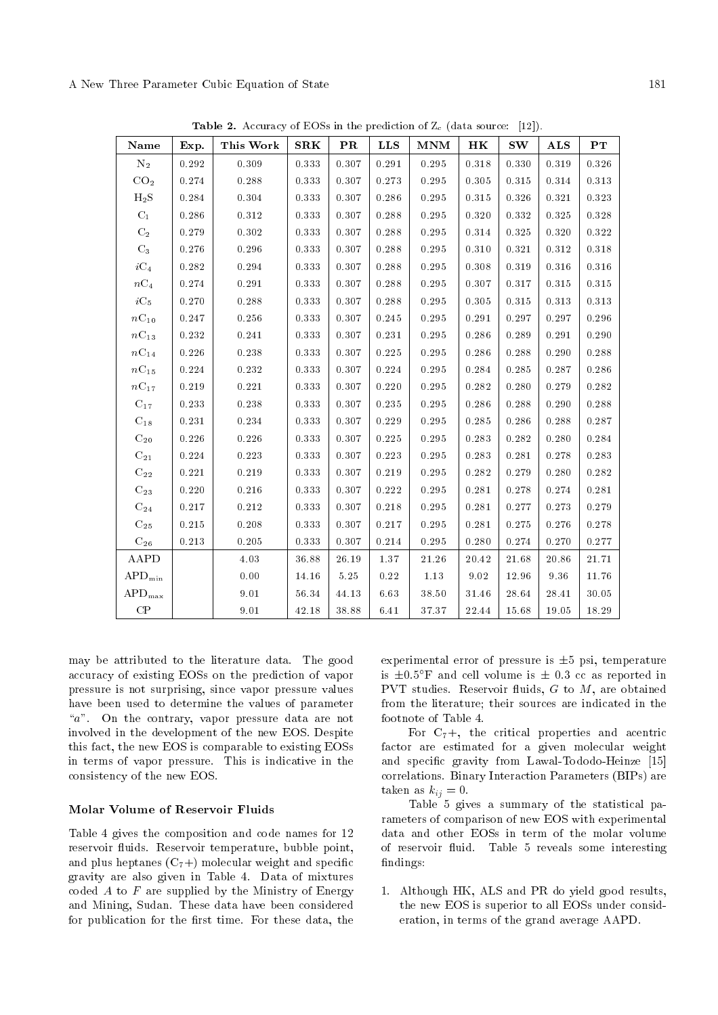| Name              | Exp.        | This Work | ${\bf S R K}$ | PR        | LLS         | MNM       | HK        | $\mathbf{S}\mathbf{W}$ | $\mathbf{ALS}$ | $\mathbf{PT}$ |
|-------------------|-------------|-----------|---------------|-----------|-------------|-----------|-----------|------------------------|----------------|---------------|
|                   |             |           |               |           |             |           |           |                        |                |               |
| $\mathrm{N}_2$    | 0.292       | 0.309     | 0.333         | $0.307\,$ | 0.291       | $0.295\,$ | 0.318     | 0.330                  | 0.319          | 0.326         |
| CO <sub>2</sub>   | 0.274       | 0.288     | 0.333         | 0.307     | 0.273       | $0.295\,$ | 0.305     | 0.315                  | 0.314          | 0.313         |
| $H_2S$            | 0.284       | 0.304     | 0.333         | 0.307     | 0.286       | 0.295     | 0.315     | 0.326                  | 0.321          | 0.323         |
| $C_1$             | 0.286       | $0.312\,$ | 0.333         | 0.307     | 0.288       | 0.295     | 0.320     | 0.332                  | 0.325          | 0.328         |
| $\mathrm{C}_2$    | 0.279       | 0.302     | 0.333         | 0.307     | 0.288       | 0.295     | 0.314     | 0.325                  | 0.320          | 0.322         |
| $C_3$             | 0.276       | 0.296     | 0.333         | 0.307     | 0.288       | 0.295     | 0.310     | 0.321                  | 0.312          | 0.318         |
| $iC_4$            | 0.282       | 0.294     | 0.333         | 0.307     | $0.288\,$   | 0.295     | 0.308     | 0.319                  | 0.316          | 0.316         |
| nC <sub>4</sub>   | 0.274       | 0.291     | 0.333         | $0.307\,$ | 0.288       | 0.295     | 0.307     | 0.317                  | 0.315          | 0.315         |
| $iC_5$            | 0.270       | 0.288     | 0.333         | 0.307     | 0.288       | 0.295     | 0.305     | 0.315                  | 0.313          | 0.313         |
| $nC_{10}$         | 0.247       | 0.256     | 0.333         | 0.307     | 0.245       | 0.295     | 0.291     | 0.297                  | 0.297          | 0.296         |
| $nC_{13}$         | 0.232       | 0.241     | 0.333         | 0.307     | 0.231       | 0.295     | 0.286     | 0.289                  | 0.291          | 0.290         |
| $nC_{14}$         | 0.226       | $0.238\,$ | $0.333\,$     | $0.307\,$ | $0.225\,$   | $0.295\,$ | 0.286     | 0.288                  | 0.290          | 0.288         |
| $nC_{15}$         | $\rm 0.224$ | $0.232\,$ | 0.333         | 0.307     | $\rm 0.224$ | 0.295     | 0.284     | 0.285                  | 0.287          | 0.286         |
| $nC_{17}$         | 0.219       | 0.221     | 0.333         | $0.307\,$ | 0.220       | 0.295     | 0.282     | 0.280                  | 0.279          | 0.282         |
| $C_{17}$          | 0.233       | 0.238     | 0.333         | 0.307     | 0.235       | 0.295     | 0.286     | 0.288                  | 0.290          | 0.288         |
| $C_{18}$          | 0.231       | 0.234     | 0.333         | 0.307     | 0.229       | 0.295     | 0.285     | 0.286                  | 0.288          | 0.287         |
| $C_{20}$          | 0.226       | 0.226     | 0.333         | 0.307     | $0.225\,$   | $0.295\,$ | 0.283     | $0.282\,$              | 0.280          | 0.284         |
| $C_{21}$          | 0.224       | $0.223\,$ | 0.333         | 0.307     | 0.223       | 0.295     | 0.283     | 0.281                  | 0.278          | 0.283         |
| $\mathrm{C}_{22}$ | 0.221       | $0.219\,$ | 0.333         | 0.307     | 0.219       | 0.295     | 0.282     | 0.279                  | 0.280          | 0.282         |
| $\mathrm{C}_{23}$ | 0.220       | 0.216     | 0.333         | 0.307     | 0.222       | 0.295     | 0.281     | 0.278                  | $0.274\,$      | 0.281         |
| $C_{24}$          | 0.217       | 0.212     | 0.333         | 0.307     | 0.218       | 0.295     | 0.281     | 0.277                  | 0.273          | 0.279         |
| $C_{25}$          | 0.215       | 0.208     | 0.333         | 0.307     | $0.217\,$   | 0.295     | 0.281     | 0.275                  | 0.276          | 0.278         |
| $C_{26}$          | 0.213       | 0.205     | 0.333         | $0.307\,$ | $0.214\,$   | 0.295     | 0.280     | 0.274                  | 0.270          | 0.277         |
| AAPD              |             | 4.03      | $36.88\,$     | 26.19     | 1.37        | 21.26     | 20.42     | 21.68                  | 20.86          | 21.71         |
| $\rm{APD_{min}}$  |             | 0.00      | 14.16         | 5.25      | 0.22        | 1.13      | 9.02      | 12.96                  | 9.36           | 11.76         |
| $\rm{APD_{max}}$  |             | 9.01      | 56.34         | 44.13     | 6.63        | 38.50     | $31.46\,$ | 28.64                  | $28.41\,$      | 30.05         |
| ${\cal CP}$       |             | 9.01      | 42.18         | 38.88     | 6.41        | 37.37     | 22.44     | 15.68                  | 19.05          | 18.29         |

**Table 2.** Accuracy of EOSs in the prediction of  $Z_c$  (data source: [12]).

may be attributed to the literature data. The good accuracy of existing EOSs on the prediction of vapor pressure is not surprising, since vapor pressure values have been used to determine the values of parameter " $a$ ". On the contrary, vapor pressure data are not involved in the development of the new EOS. Despite this fact, the new EOS is comparable to existing EOSs in terms of vapor pressure. This is indicative in the consistency of the new EOS.

#### Molar Volume of Reservoir Fluids

Table 4 gives the composition and code names for 12 reservoir fluids. Reservoir temperature, bubble point, and plus heptanes  $(C_7+)$  molecular weight and specific gravity are also given in Table 4. Data of mixtures coded  $A$  to  $F$  are supplied by the Ministry of Energy and Mining, Sudan. These data have been considered for publication for the first time. For these data, the

experimental error of pressure is  $\pm 5$  psi, temperature is  $\pm 0.5$ °F and cell volume is  $\pm 0.3$  cc as reported in PVT studies. Reservoir fluids,  $G$  to  $M$ , are obtained from the literature; their sources are indicated in the footnote of Table 4.

For  $C_7$ +, the critical properties and acentric factor are estimated for a given molecular weight and specic gravity from Lawal-Tododo-Heinze [15] correlations. Binary Interaction Parameters (BIPs) are taken as  $k_{ij} = 0$ .

Table 5 gives a summary of the statistical parameters of comparison of new EOS with experimental data and other EOSs in term of the molar volume of reservoir fluid. Table 5 reveals some interesting findings:

1. Although HK, ALS and PR do yield good results, the new EOS is superior to all EOSs under consideration, in terms of the grand average AAPD.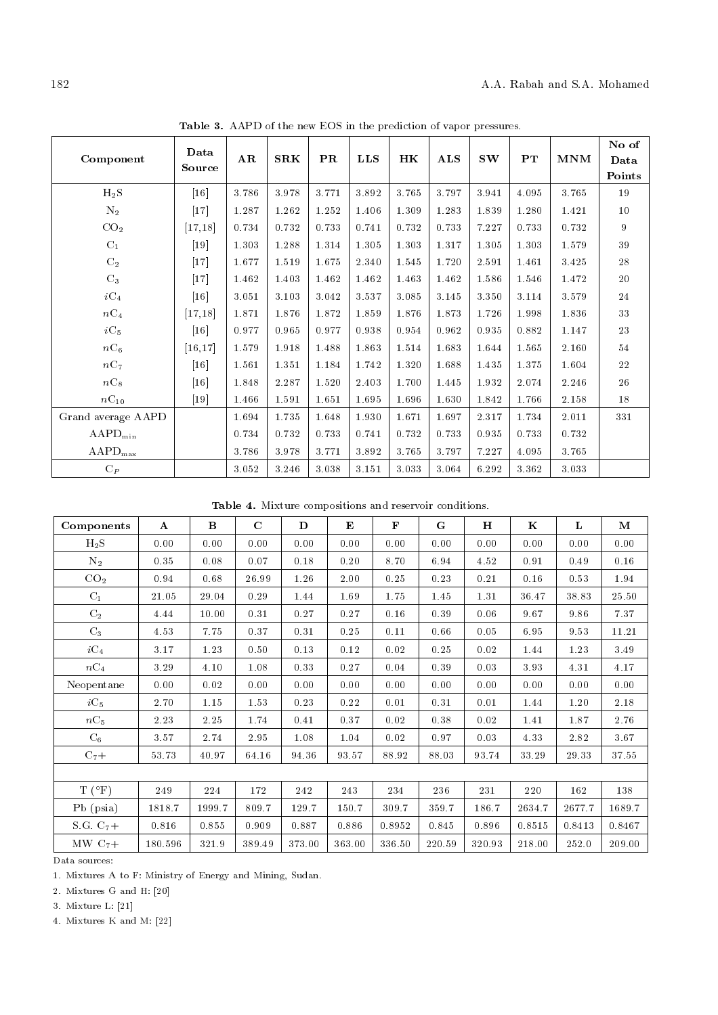|                    |          |           |                           |       |            |       |                |       |               |               | No of            |
|--------------------|----------|-----------|---------------------------|-------|------------|-------|----------------|-------|---------------|---------------|------------------|
| Component          | Data     | $\bf{AR}$ | ${\bf S} {\bf R} {\bf K}$ | PR    | <b>LLS</b> | HK    | $\mathbf{ALS}$ | SW    | $\mathbf{PT}$ | $\bf M\bf NM$ | Data             |
|                    | Source   |           |                           |       |            |       |                |       |               |               | Points           |
| $H_2S$             | $[16]$   | 3.786     | 3.978                     | 3.771 | 3.892      | 3.765 | 3.797          | 3.941 | 4.095         | 3.765         | 19               |
| $\mathrm{N}_2$     | $[17]$   | 1.287     | 1.262                     | 1.252 | 1.406      | 1.309 | 1.283          | 1.839 | 1.280         | 1.421         | 10               |
| CO <sub>2</sub>    | [17, 18] | 0.734     | 0.732                     | 0.733 | 0.741      | 0.732 | 0.733          | 7.227 | 0.733         | 0.732         | $\boldsymbol{9}$ |
| $\mathrm{C}_1$     | $[19]$   | 1.303     | 1.288                     | 1.314 | 1.305      | 1.303 | 1.317          | 1.305 | 1.303         | 1.579         | $3\sqrt{9}$      |
| $\mathrm{C}_2$     | $[17]$   | 1.677     | 1.519                     | 1.675 | 2.340      | 1.545 | 1.720          | 2.591 | 1.461         | 3.425         | $2\sqrt{8}$      |
| $\mathrm{C}_3$     | $[17]$   | 1.462     | 1.403                     | 1.462 | 1.462      | 1.463 | 1.462          | 1.586 | 1.546         | 1.472         | $2\sqrt{0}$      |
| $iC_4$             | $[16]$   | 3.051     | 3.103                     | 3.042 | 3.537      | 3.085 | 3.145          | 3.350 | 3.114         | 3.579         | $\sqrt{24}$      |
| nC <sub>4</sub>    | [17, 18] | 1.871     | 1.876                     | 1.872 | 1.859      | 1.876 | 1.873          | 1.726 | 1.998         | 1.836         | $3\sqrt{3}$      |
| $iC_5$             | $[16]$   | 0.977     | 0.965                     | 0.977 | 0.938      | 0.954 | 0.962          | 0.935 | 0.882         | 1.147         | $2\sqrt{3}$      |
| $nC_6$             | [16, 17] | 1.579     | 1.918                     | 1.488 | 1.863      | 1.514 | 1.683          | 1.644 | 1.565         | 2.160         | $5\,4$           |
| $nC_7$             | [16]     | 1.561     | 1.351                     | 1.184 | 1.742      | 1.320 | 1.688          | 1.435 | 1.375         | 1.604         | 22               |
| $nC_8$             | $[16]$   | 1.848     | 2.287                     | 1.520 | 2.403      | 1.700 | 1.445          | 1.932 | 2.074         | 2.246         | $2\sqrt{6}$      |
| $nC_{10}$          | $[19]$   | 1.466     | 1.591                     | 1.651 | 1.695      | 1.696 | 1.630          | 1.842 | 1.766         | 2.158         | 18               |
| Grand average AAPD |          | 1.694     | 1.735                     | 1.648 | 1.930      | 1.671 | 1.697          | 2.317 | 1.734         | 2.011         | 331              |
| $AAPD_{min}$       |          | 0.734     | 0.732                     | 0.733 | 0.741      | 0.732 | 0.733          | 0.935 | 0.733         | 0.732         |                  |
| $\rm{AAPD_{max}}$  |          | 3.786     | 3.978                     | 3.771 | 3.892      | 3.765 | 3.797          | 7.227 | 4.095         | 3.765         |                  |
| $C_P$              |          | 3.052     | 3.246                     | 3.038 | 3.151      | 3.033 | 3.064          | 6.292 | 3.362         | 3.033         |                  |

Table 3. AAPD of the new EOS in the prediction of vapor pressures.

Table 4. Mixture compositions and reservoir conditions.

| Components      | $\mathbf{A}$ | B      | $\mathbf C$ | D      | E      | ${\bf F}$ | G      | H      | $\bf K$ | L      | М        |
|-----------------|--------------|--------|-------------|--------|--------|-----------|--------|--------|---------|--------|----------|
| $H_2S$          | 0.00         | 0.00   | 0.00        | 0.00   | 0.00   | 0.00      | 0.00   | 0.00   | 0.00    | 0.00   | 0.00     |
| $\mathrm{N}_2$  | 0.35         | 0.08   | 0.07        | 0.18   | 0.20   | 8.70      | 6.94   | 4.52   | 0.91    | 0.49   | 0.16     |
| CO <sub>2</sub> | 0.94         | 0.68   | 26.99       | 1.26   | 2.00   | 0.25      | 0.23   | 0.21   | 0.16    | 0.53   | 1.94     |
| $C_1$           | 21.05        | 29.04  | 0.29        | 1.44   | 1.69   | 1.75      | 1.45   | 1.31   | 36.47   | 38.83  | 25.50    |
| $\mathrm{C}_2$  | 4.44         | 10.00  | 0.31        | 0.27   | 0.27   | 0.16      | 0.39   | 0.06   | 9.67    | 9.86   | 7.37     |
| $\mathrm{C}_3$  | 4.53         | 7.75   | 0.37        | 0.31   | 0.25   | 0.11      | 0.66   | 0.05   | 6.95    | 9.53   | 11.21    |
| $iC_4$          | 3.17         | 1.23   | 0.50        | 0.13   | 0.12   | 0.02      | 0.25   | 0.02   | 1.44    | 1.23   | 3.49     |
| $n\mathrm{C}_4$ | 3.29         | 4.10   | 1.08        | 0.33   | 0.27   | 0.04      | 0.39   | 0.03   | 3.93    | 4.31   | 4.17     |
| Neopentane      | 0.00         | 0.02   | 0.00        | 0.00   | 0.00   | 0.00      | 0.00   | 0.00   | 0.00    | 0.00   | 0.00     |
| $iC_5$          | 2.70         | 1.15   | 1.53        | 0.23   | 0.22   | 0.01      | 0.31   | 0.01   | 1.44    | 1.20   | 2.18     |
| $nC_5$          | 2.23         | 2.25   | 1.74        | 0.41   | 0.37   | 0.02      | 0.38   | 0.02   | 1.41    | 1.87   | 2.76     |
| $\mathrm{C}_6$  | 3.57         | 2.74   | 2.95        | 1.08   | 1.04   | 0.02      | 0.97   | 0.03   | 4.33    | 2.82   | $3.67\,$ |
| $C_7+$          | 53.73        | 40.97  | 64.16       | 94.36  | 93.57  | 88.92     | 88.03  | 93.74  | 33.29   | 29.33  | 37.55    |
|                 |              |        |             |        |        |           |        |        |         |        |          |
| $T(^{\circ}F)$  | 249          | 224    | 172         | 242    | 243    | 234       | 236    | 231    | 220     | 162    | 138      |
| $Pb$ (psia)     | 1818.7       | 1999.7 | 809.7       | 129.7  | 150.7  | 309.7     | 359.7  | 186.7  | 2634.7  | 2677.7 | 1689.7   |
| $S.G. C_7+$     | 0.816        | 0.855  | 0.909       | 0.887  | 0.886  | 0.8952    | 0.845  | 0.896  | 0.8515  | 0.8413 | 0.8467   |
| $MWC_7+$        | 180.596      | 321.9  | 389.49      | 373.00 | 363.00 | 336.50    | 220.59 | 320.93 | 218.00  | 252.0  | 209.00   |

Data sources:

1. Mixtures A to F: Ministry of Energy and Mining, Sudan.

2. Mixtures G and H: [20]

3. Mixture L: [21]

4. Mixtures K and M: [22]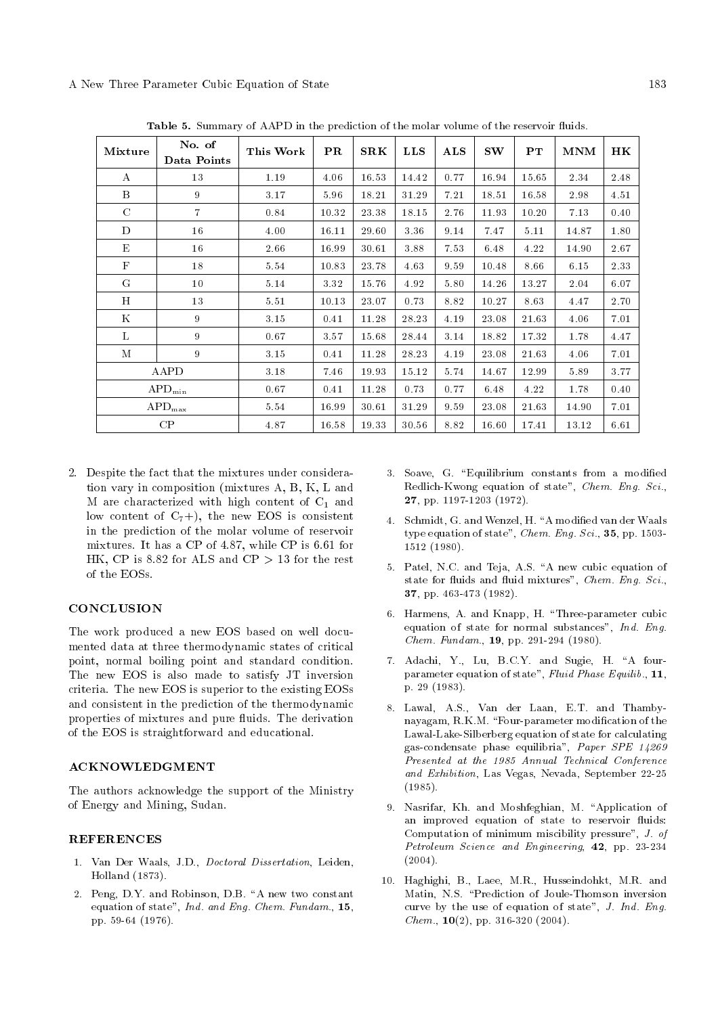| Mixture       | No. of<br>Data Points | This Work | PR    | ${\rm SRK}$ | LLS   | $\mathbf{A}$ <b>LS</b> | $\mathbf{S}\mathbf{W}$ | $\mathbf{PT}$ | MNM   | HK   |
|---------------|-----------------------|-----------|-------|-------------|-------|------------------------|------------------------|---------------|-------|------|
| А             | 13                    | 1.19      | 4.06  | 16.53       | 14.42 | 0.77                   | 16.94                  | 15.65         | 2.34  | 2.48 |
| B             | 9                     | 3.17      | 5.96  | 18.21       | 31.29 | 7.21                   | 18.51                  | 16.58         | 2.98  | 4.51 |
| $\mathcal{C}$ | $\overline{7}$        | 0.84      | 10.32 | 23.38       | 18.15 | 2.76                   | 11.93                  | 10.20         | 7.13  | 0.40 |
| D             | 16                    | 4.00      | 16.11 | 29.60       | 3.36  | 9.14                   | 7.47                   | 5.11          | 14.87 | 1.80 |
| Е             | 16                    | 2.66      | 16.99 | 30.61       | 3.88  | 7.53                   | 6.48                   | 4.22          | 14.90 | 2.67 |
| $\mathbf F$   | 18                    | 5.54      | 10.83 | 23.78       | 4.63  | 9.59                   | 10.48                  | 8.66          | 6.15  | 2.33 |
| G             | 10 <sup>°</sup>       | 5.14      | 332   | 15.76       | 4.92  | 5.80                   | 14.26                  | 13.27         | 2.04  | 6.07 |
| H             | 13                    | 5.51      | 10.13 | 23.07       | 0.73  | 8.82                   | 10.27                  | 8.63          | 4.47  | 2.70 |
| $_{\rm K}$    | 9                     | 3.15      | 0.41  | 11.28       | 28.23 | 4.19                   | 23.08                  | 21.63         | 4.06  | 7.01 |
| L             | 9                     | 0.67      | 3.57  | 15.68       | 28.44 | 3.14                   | 18.82                  | 17.32         | 1.78  | 4.47 |
| М             | 9                     | 3.15      | 0.41  | 11.28       | 28.23 | 4.19                   | 23.08                  | 21.63         | 4.06  | 7.01 |
|               | AAPD                  | 3.18      | 7.46  | 19.93       | 15.12 | 5.74                   | 14.67                  | 12.99         | 5.89  | 3.77 |
|               | $APD_{\min}$          | 0.67      | 0.41  | 11.28       | 0.73  | 0.77                   | 6.48                   | 4.22          | 1.78  | 0.40 |
|               | $\rm{APD_{max}}$      | 5.54      | 16.99 | 30.61       | 31.29 | 9.59                   | 23.08                  | 21.63         | 14.90 | 7.01 |
|               | CP                    | 4.87      | 16.58 | 19.33       | 30.56 | 8.82                   | 16.60                  | 17.41         | 13.12 | 6.61 |

Table 5. Summary of AAPD in the prediction of the molar volume of the reservoir fluids.

2. Despite the fact that the mixtures under consideration vary in composition (mixtures A, B, K, L and M are characterized with high content of  $C_1$  and low content of  $C_7+$ ), the new EOS is consistent in the prediction of the molar volume of reservoir mixtures. It has a CP of 4.87, while CP is 6.61 for HK, CP is 8.82 for ALS and CP > 13 for the rest of the EOSs.

#### **CONCLUSION**

The work produced a new EOS based on well documented data at three thermodynamic states of critical point, normal boiling point and standard condition. The new EOS is also made to satisfy JT inversion criteria. The new EOS is superior to the existing EOSs and consistent in the prediction of the thermodynamic properties of mixtures and pure fluids. The derivation of the EOS is straightforward and educational.

#### ACKNOWLEDGMENT

The authors acknowledge the support of the Ministry of Energy and Mining, Sudan.

## REFERENCES

- 1. Van Der Waals, J.D., Doctoral Dissertation, Leiden, Holland (1873).
- 2. Peng, D.Y. and Robinson, D.B. "A new two constant equation of state", Ind. and Eng. Chem. Fundam., 15, pp. 59-64 (1976).
- 3. Soave, G. "Equilibrium constants from a modified Redlich-Kwong equation of state", Chem. Eng. Sci., 27, pp. 1197-1203 (1972).
- 4. Schmidt, G. and Wenzel, H. "A modified van der Waals type equation of state", Chem. Eng. Sci., 35, pp. 1503-1512 (1980).
- 5. Patel, N.C. and Teja, A.S. "A new cubic equation of state for fluids and fluid mixtures", Chem. Eng. Sci., 37, pp. 463-473 (1982).
- 6. Harmens, A. and Knapp, H. \Three-parameter cubic equation of state for normal substances", Ind. Eng. Chem. Fundam., 19, pp. 291-294 (1980).
- 7. Adachi, Y., Lu, B.C.Y. and Sugie, H. "A fourparameter equation of state", Fluid Phase Equilib., 11, p. 29 (1983).
- 8. Lawal, A.S., Van der Laan, E.T. and Thambynayagam, R.K.M. "Four-parameter modification of the Lawal-Lake-Silberberg equation of state for calculating gas-condensate phase equilibria", Paper SPE 14269 Presented at the 1985 Annual Technical Conference and Exhibition, Las Vegas, Nevada, September 22-25 (1985).
- 9. Nasrifar, Kh. and Moshfeghian, M. \Application of an improved equation of state to reservoir fluids: Computation of minimum miscibility pressure", J. of Petroleum Science and Engineering, 42, pp. 23-234  $(2004).$
- 10. Haghighi, B., Laee, M.R., Husseindohkt, M.R. and Matin, N.S. \Prediction of Joule-Thomson inversion curve by the use of equation of state", J. Ind. Eng. *Chem.*,  $10(2)$ , pp. 316-320 (2004).